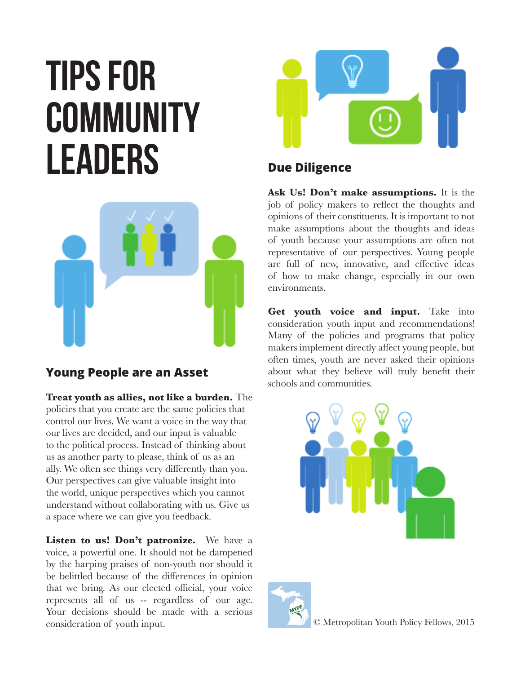# **Tips for community leaders**



## **Young People are an Asset**

**Treat youth as allies, not like a burden.** The policies that you create are the same policies that control our lives. We want a voice in the way that our lives are decided, and our input is valuable to the political process. Instead of thinking about us as another party to please, think of us as an ally. We often see things very differently than you. Our perspectives can give valuable insight into the world, unique perspectives which you cannot understand without collaborating with us. Give us a space where we can give you feedback.

Listen to us! Don't patronize. We have a voice, a powerful one. It should not be dampened by the harping praises of non-youth nor should it be belittled because of the differences in opinion that we bring. As our elected official, your voice represents all of us -- regardless of our age. Your decisions should be made with a serious consideration of youth input.



# **Due Diligence**

**Ask Us! Don't make assumptions.** It is the job of policy makers to reflect the thoughts and opinions of their constituents. It is important to not make assumptions about the thoughts and ideas of youth because your assumptions are often not representative of our perspectives. Young people are full of new, innovative, and effective ideas of how to make change, especially in our own environments.

**Get youth voice and input.** Take into consideration youth input and recommendations! Many of the policies and programs that policy makers implement directly affect young people, but often times, youth are never asked their opinions about what they believe will truly benefit their schools and communities.